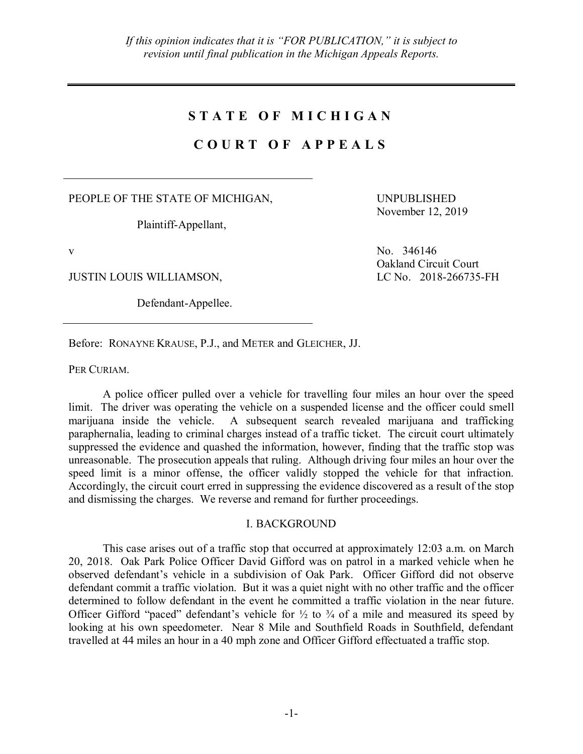## **S T A T E O F M I C H I G A N**

## **C O U R T O F A P P E A L S**

PEOPLE OF THE STATE OF MICHIGAN,

Plaintiff-Appellant,

JUSTIN LOUIS WILLIAMSON, LC No. 2018-266735-FH

Defendant-Appellee.

UNPUBLISHED November 12, 2019

v No. 346146 Oakland Circuit Court

Before: RONAYNE KRAUSE, P.J., and METER and GLEICHER, JJ.

PER CURIAM.

A police officer pulled over a vehicle for travelling four miles an hour over the speed limit. The driver was operating the vehicle on a suspended license and the officer could smell marijuana inside the vehicle. A subsequent search revealed marijuana and trafficking paraphernalia, leading to criminal charges instead of a traffic ticket. The circuit court ultimately suppressed the evidence and quashed the information, however, finding that the traffic stop was unreasonable. The prosecution appeals that ruling. Although driving four miles an hour over the speed limit is a minor offense, the officer validly stopped the vehicle for that infraction. Accordingly, the circuit court erred in suppressing the evidence discovered as a result of the stop and dismissing the charges. We reverse and remand for further proceedings.

## I. BACKGROUND

This case arises out of a traffic stop that occurred at approximately 12:03 a.m. on March 20, 2018. Oak Park Police Officer David Gifford was on patrol in a marked vehicle when he observed defendant's vehicle in a subdivision of Oak Park. Officer Gifford did not observe defendant commit a traffic violation. But it was a quiet night with no other traffic and the officer determined to follow defendant in the event he committed a traffic violation in the near future. Officer Gifford "paced" defendant's vehicle for  $\frac{1}{2}$  to  $\frac{3}{4}$  of a mile and measured its speed by looking at his own speedometer. Near 8 Mile and Southfield Roads in Southfield, defendant travelled at 44 miles an hour in a 40 mph zone and Officer Gifford effectuated a traffic stop.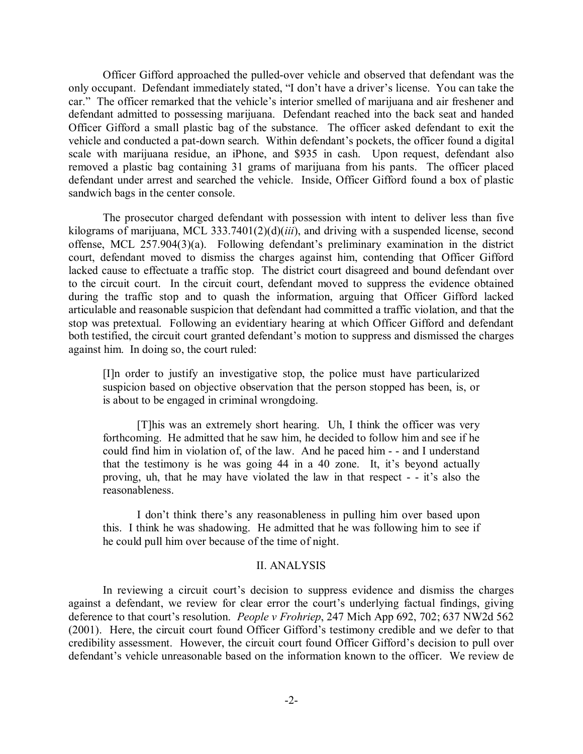Officer Gifford approached the pulled-over vehicle and observed that defendant was the only occupant. Defendant immediately stated, "I don't have a driver's license. You can take the car." The officer remarked that the vehicle's interior smelled of marijuana and air freshener and defendant admitted to possessing marijuana. Defendant reached into the back seat and handed Officer Gifford a small plastic bag of the substance. The officer asked defendant to exit the vehicle and conducted a pat-down search. Within defendant's pockets, the officer found a digital scale with marijuana residue, an iPhone, and \$935 in cash. Upon request, defendant also removed a plastic bag containing 31 grams of marijuana from his pants. The officer placed defendant under arrest and searched the vehicle. Inside, Officer Gifford found a box of plastic sandwich bags in the center console.

The prosecutor charged defendant with possession with intent to deliver less than five kilograms of marijuana, MCL 333.7401(2)(d)(*iii*), and driving with a suspended license, second offense, MCL 257.904(3)(a). Following defendant's preliminary examination in the district court, defendant moved to dismiss the charges against him, contending that Officer Gifford lacked cause to effectuate a traffic stop. The district court disagreed and bound defendant over to the circuit court. In the circuit court, defendant moved to suppress the evidence obtained during the traffic stop and to quash the information, arguing that Officer Gifford lacked articulable and reasonable suspicion that defendant had committed a traffic violation, and that the stop was pretextual. Following an evidentiary hearing at which Officer Gifford and defendant both testified, the circuit court granted defendant's motion to suppress and dismissed the charges against him. In doing so, the court ruled:

[I]n order to justify an investigative stop, the police must have particularized suspicion based on objective observation that the person stopped has been, is, or is about to be engaged in criminal wrongdoing.

[T]his was an extremely short hearing. Uh, I think the officer was very forthcoming. He admitted that he saw him, he decided to follow him and see if he could find him in violation of, of the law. And he paced him - - and I understand that the testimony is he was going 44 in a 40 zone. It, it's beyond actually proving, uh, that he may have violated the law in that respect - - it's also the reasonableness.

I don't think there's any reasonableness in pulling him over based upon this. I think he was shadowing. He admitted that he was following him to see if he could pull him over because of the time of night.

## II. ANALYSIS

In reviewing a circuit court's decision to suppress evidence and dismiss the charges against a defendant, we review for clear error the court's underlying factual findings, giving deference to that court's resolution. *People v Frohriep*, 247 Mich App 692, 702; 637 NW2d 562 (2001). Here, the circuit court found Officer Gifford's testimony credible and we defer to that credibility assessment. However, the circuit court found Officer Gifford's decision to pull over defendant's vehicle unreasonable based on the information known to the officer. We review de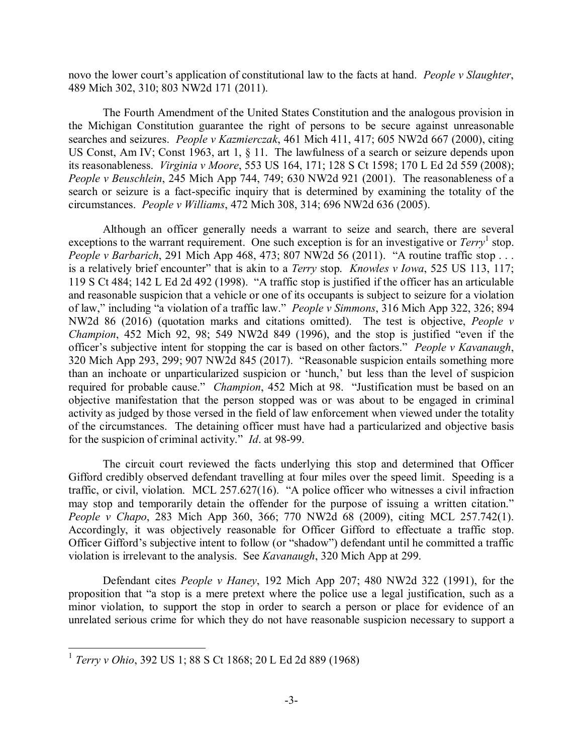novo the lower court's application of constitutional law to the facts at hand. *People v Slaughter*, 489 Mich 302, 310; 803 NW2d 171 (2011).

The Fourth Amendment of the United States Constitution and the analogous provision in the Michigan Constitution guarantee the right of persons to be secure against unreasonable searches and seizures. *People v Kazmierczak*, 461 Mich 411, 417; 605 NW2d 667 (2000), citing US Const, Am IV; Const 1963, art 1, § 11. The lawfulness of a search or seizure depends upon its reasonableness. *Virginia v Moore*, 553 US 164, 171; 128 S Ct 1598; 170 L Ed 2d 559 (2008); *People v Beuschlein*, 245 Mich App 744, 749; 630 NW2d 921 (2001). The reasonableness of a search or seizure is a fact-specific inquiry that is determined by examining the totality of the circumstances. *People v Williams*, 472 Mich 308, 314; 696 NW2d 636 (2005).

Although an officer generally needs a warrant to seize and search, there are several exceptions to the warrant requirement. One such exception is for an investigative or *Terry*<sup>1</sup> stop. *People v Barbarich*, 291 Mich App 468, 473; 807 NW2d 56 (2011). "A routine traffic stop . . . is a relatively brief encounter" that is akin to a *Terry* stop. *Knowles v Iowa*, 525 US 113, 117; 119 S Ct 484; 142 L Ed 2d 492 (1998). "A traffic stop is justified if the officer has an articulable and reasonable suspicion that a vehicle or one of its occupants is subject to seizure for a violation of law," including "a violation of a traffic law." *People v Simmons*, 316 Mich App 322, 326; 894 NW2d 86 (2016) (quotation marks and citations omitted). The test is objective, *People v Champion*, 452 Mich 92, 98; 549 NW2d 849 (1996), and the stop is justified "even if the officer's subjective intent for stopping the car is based on other factors." *People v Kavanaugh*, 320 Mich App 293, 299; 907 NW2d 845 (2017). "Reasonable suspicion entails something more than an inchoate or unparticularized suspicion or 'hunch,' but less than the level of suspicion required for probable cause." *Champion*, 452 Mich at 98. "Justification must be based on an objective manifestation that the person stopped was or was about to be engaged in criminal activity as judged by those versed in the field of law enforcement when viewed under the totality of the circumstances. The detaining officer must have had a particularized and objective basis for the suspicion of criminal activity." *Id*. at 98-99.

The circuit court reviewed the facts underlying this stop and determined that Officer Gifford credibly observed defendant travelling at four miles over the speed limit. Speeding is a traffic, or civil, violation. MCL 257.627(16). "A police officer who witnesses a civil infraction may stop and temporarily detain the offender for the purpose of issuing a written citation." *People v Chapo*, 283 Mich App 360, 366; 770 NW2d 68 (2009), citing MCL 257.742(1). Accordingly, it was objectively reasonable for Officer Gifford to effectuate a traffic stop. Officer Gifford's subjective intent to follow (or "shadow") defendant until he committed a traffic violation is irrelevant to the analysis. See *Kavanaugh*, 320 Mich App at 299.

Defendant cites *People v Haney*, 192 Mich App 207; 480 NW2d 322 (1991), for the proposition that "a stop is a mere pretext where the police use a legal justification, such as a minor violation, to support the stop in order to search a person or place for evidence of an unrelated serious crime for which they do not have reasonable suspicion necessary to support a

 <sup>1</sup> *Terry v Ohio*, 392 US 1; 88 S Ct 1868; 20 L Ed 2d 889 (1968)